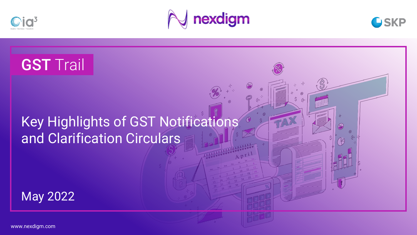





 $\infty$ 

# **GST Trail**

## Key Highlights of GST Notifications and Clarification Circulars

May 2022

www.nexdigm.com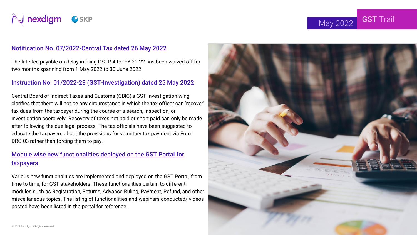

May 2022 **GST** Trail

#### Notification No. 07/2022-Central Tax dated 26 May 2022

The late fee payable on delay in filing GSTR-4 for FY 21-22 has been waived off for two months spanning from 1 May 2022 to 30 June 2022.

#### Instruction No. 01/2022-23 (GST-Investigation) dated 25 May 2022

Central Board of Indirect Taxes and Customs (CBIC)'s GST Investigation wing clarifies that there will not be any circumstance in which the tax officer can 'recover' tax dues from the taxpayer during the course of a search, inspection, or investigation coercively. Recovery of taxes not paid or short paid can only be made after following the due legal process. The tax officials have been suggested to educate the taxpayers about the provisions for voluntary tax payment via Form DRC-03 rather than forcing them to pay.

#### [Module wise new functionalities deployed on the GST Portal for](https://www.gst.gov.in/newsandupdates/read/540)  taxpayers

Various new functionalities are implemented and deployed on the GST Portal, from time to time, for GST stakeholders. These functionalities pertain to different modules such as Registration, Returns, Advance Ruling, Payment, Refund, and other miscellaneous topics. The listing of functionalities and webinars conducted/ videos posted have been listed in the portal for reference.

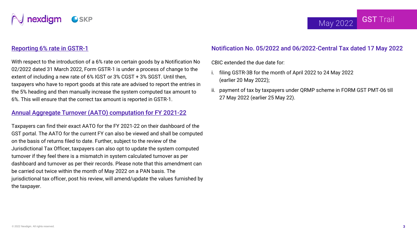

#### [Reporting 6% rate in GSTR-1](https://www.gst.gov.in/newsandupdates/read/539)

With respect to the introduction of a 6% rate on certain goods by a Notification No 02/2022 dated 31 March 2022, Form GSTR-1 is under a process of change to the extent of including a new rate of 6% IGST or 3% CGST + 3% SGST. Until then, taxpayers who have to report goods at this rate are advised to report the entries in the 5% heading and then manually increase the system computed tax amount to 6%. This will ensure that the correct tax amount is reported in GSTR-1.

#### [Annual Aggregate Turnover \(AATO\) computation for FY 2021-22](https://www.gst.gov.in/newsandupdates/read/537)

Taxpayers can find their exact AATO for the FY 2021-22 on their dashboard of the GST portal. The AATO for the current FY can also be viewed and shall be computed on the basis of returns filed to date. Further, subject to the review of the Jurisdictional Tax Officer, taxpayers can also opt to update the system computed turnover if they feel there is a mismatch in system calculated turnover as per dashboard and turnover as per their records. Please note that this amendment can be carried out twice within the month of May 2022 on a PAN basis. The jurisdictional tax officer, post his review, will amend/update the values furnished by the taxpayer.

#### Notification No. 05/2022 and 06/2022-Central Tax dated 17 May 2022

CBIC extended the due date for:

- i. filing GSTR-3B for the month of April 2022 to 24 May 2022 (earlier 20 May 2022);
- ii. payment of tax by taxpayers under QRMP scheme in FORM GST PMT-06 till 27 May 2022 (earlier 25 May 22).